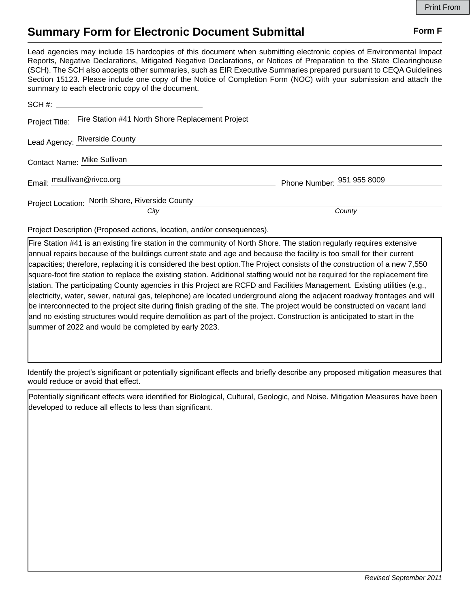## **Summary Form for Electronic Document Submittal Form F Form F**

Lead agencies may include 15 hardcopies of this document when submitting electronic copies of Environmental Impact Reports, Negative Declarations, Mitigated Negative Declarations, or Notices of Preparation to the State Clearinghouse (SCH). The SCH also accepts other summaries, such as EIR Executive Summaries prepared pursuant to CEQA Guidelines Section 15123. Please include one copy of the Notice of Completion Form (NOC) with your submission and attach the summary to each electronic copy of the document.

|                            | Project Title: Fire Station #41 North Shore Replacement Project |                            |
|----------------------------|-----------------------------------------------------------------|----------------------------|
|                            | Lead Agency: Riverside County                                   |                            |
|                            | Contact Name: Mike Sullivan                                     |                            |
| Email: msullivan@rivco.org |                                                                 | Phone Number: 951 955 8009 |
|                            | Project Location: North Shore, Riverside County                 |                            |
|                            | City                                                            | County                     |

Project Description (Proposed actions, location, and/or consequences).

Fire Station #41 is an existing fire station in the community of North Shore. The station regularly requires extensive annual repairs because of the buildings current state and age and because the facility is too small for their current capacities; therefore, replacing it is considered the best option.The Project consists of the construction of a new 7,550 square-foot fire station to replace the existing station. Additional staffing would not be required for the replacement fire station. The participating County agencies in this Project are RCFD and Facilities Management. Existing utilities (e.g., electricity, water, sewer, natural gas, telephone) are located underground along the adjacent roadway frontages and will be interconnected to the project site during finish grading of the site. The project would be constructed on vacant land and no existing structures would require demolition as part of the project. Construction is anticipated to start in the summer of 2022 and would be completed by early 2023.

Identify the project's significant or potentially significant effects and briefly describe any proposed mitigation measures that would reduce or avoid that effect.

Potentially significant effects were identified for Biological, Cultural, Geologic, and Noise. Mitigation Measures have been developed to reduce all effects to less than significant.